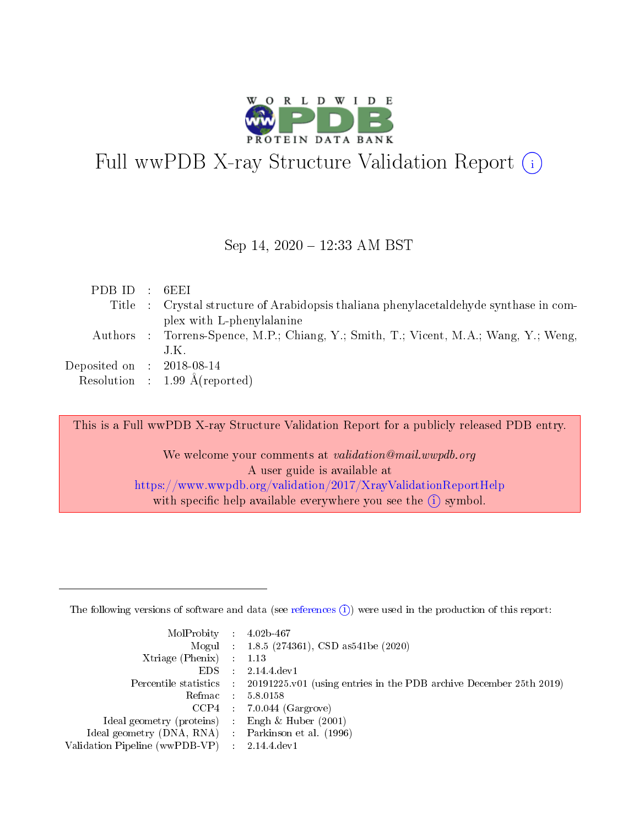

# Full wwPDB X-ray Structure Validation Report  $(i)$

#### Sep 14,  $2020 - 12:33$  AM BST

| PDBID : 6EEI                |                                                                                        |
|-----------------------------|----------------------------------------------------------------------------------------|
|                             | Title : Crystal structure of Arabidopsis thaliana phenylacetal dehyde synthase in com- |
|                             | plex with L-phenylalanine                                                              |
|                             | Authors : Torrens-Spence, M.P.; Chiang, Y.; Smith, T.; Vicent, M.A.; Wang, Y.; Weng,   |
|                             | J.K.                                                                                   |
| Deposited on : $2018-08-14$ |                                                                                        |
|                             | Resolution : $1.99 \text{ Å}(\text{reported})$                                         |

This is a Full wwPDB X-ray Structure Validation Report for a publicly released PDB entry.

We welcome your comments at validation@mail.wwpdb.org A user guide is available at <https://www.wwpdb.org/validation/2017/XrayValidationReportHelp> with specific help available everywhere you see the  $(i)$  symbol.

The following versions of software and data (see [references](https://www.wwpdb.org/validation/2017/XrayValidationReportHelp#references)  $(1)$ ) were used in the production of this report:

| $MolProbability$ : 4.02b-467                        |                                                                                            |
|-----------------------------------------------------|--------------------------------------------------------------------------------------------|
|                                                     | Mogul : $1.8.5$ (274361), CSD as 541be (2020)                                              |
| Xtriage (Phenix) $: 1.13$                           |                                                                                            |
| EDS                                                 | 2.14.4 dev1                                                                                |
|                                                     | Percentile statistics : 20191225.v01 (using entries in the PDB archive December 25th 2019) |
| Refmac : 5.8.0158                                   |                                                                                            |
| $CCP4$ :                                            | $7.0.044$ (Gargrove)                                                                       |
| Ideal geometry (proteins) :                         | Engh $\&$ Huber (2001)                                                                     |
| Ideal geometry (DNA, RNA) : Parkinson et al. (1996) |                                                                                            |
| Validation Pipeline (wwPDB-VP) : 2.14.4.dev1        |                                                                                            |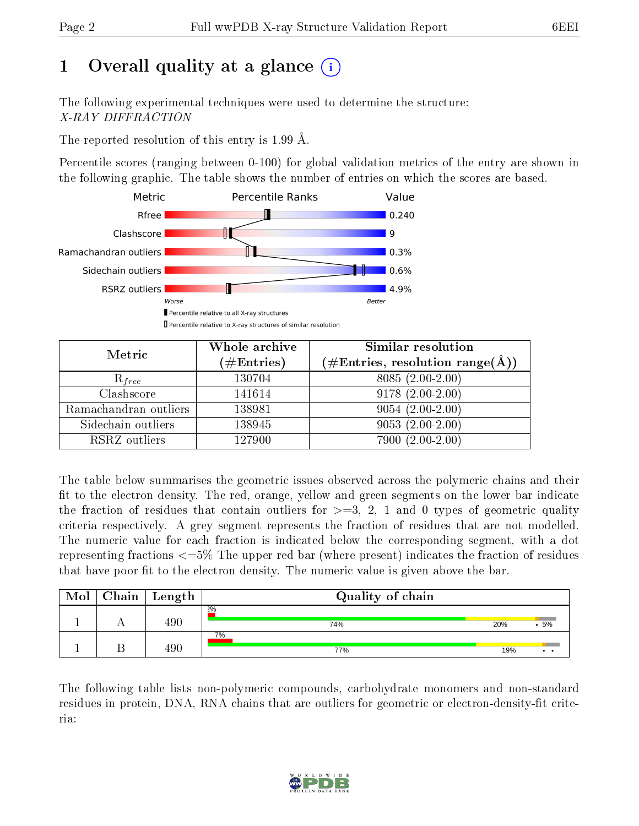# 1 [O](https://www.wwpdb.org/validation/2017/XrayValidationReportHelp#overall_quality)verall quality at a glance  $(i)$

The following experimental techniques were used to determine the structure: X-RAY DIFFRACTION

The reported resolution of this entry is 1.99 Å.

Percentile scores (ranging between 0-100) for global validation metrics of the entry are shown in the following graphic. The table shows the number of entries on which the scores are based.



| Metric                | Whole archive<br>$(\#\mathrm{Entries})$ | Similar resolution<br>$(\#\text{Entries},\,\text{resolution}\,\,\text{range}(\textup{\AA}))$ |
|-----------------------|-----------------------------------------|----------------------------------------------------------------------------------------------|
| $R_{free}$            | 130704                                  | $8085(2.00-2.00)$                                                                            |
| Clashscore            | 141614                                  | $9178(2.00-2.00)$                                                                            |
| Ramachandran outliers | 138981                                  | $9054(2.00-2.00)$                                                                            |
| Sidechain outliers    | 138945                                  | $9053(2.00-2.00)$                                                                            |
| RSRZ outliers         | 127900                                  | $7900(2.00-2.00)$                                                                            |

The table below summarises the geometric issues observed across the polymeric chains and their fit to the electron density. The red, orange, yellow and green segments on the lower bar indicate the fraction of residues that contain outliers for  $>=3, 2, 1$  and 0 types of geometric quality criteria respectively. A grey segment represents the fraction of residues that are not modelled. The numeric value for each fraction is indicated below the corresponding segment, with a dot representing fractions  $\epsilon=5\%$  The upper red bar (where present) indicates the fraction of residues that have poor fit to the electron density. The numeric value is given above the bar.

| Mol | $C$ hain   Length | Quality of chain |     |                 |
|-----|-------------------|------------------|-----|-----------------|
|     | 490               | 2%<br>74%        | 20% | .5%             |
|     | 490               | 7%<br>77%        | 19% | $\cdot$ $\cdot$ |

The following table lists non-polymeric compounds, carbohydrate monomers and non-standard residues in protein, DNA, RNA chains that are outliers for geometric or electron-density-fit criteria:

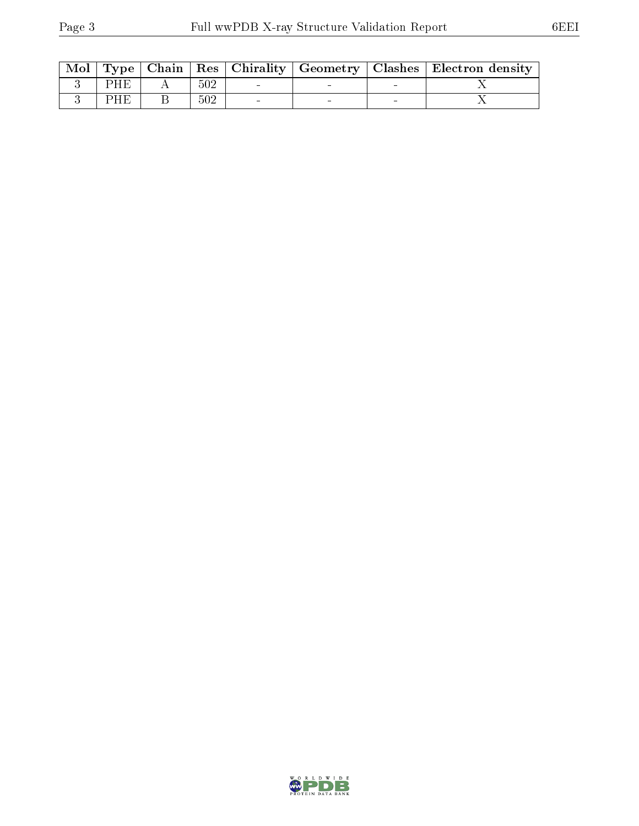| Mol |     |     |  |   | Type   Chain   Res   Chirality   Geometry   Clashes   Electron density |
|-----|-----|-----|--|---|------------------------------------------------------------------------|
|     | PHE | 502 |  |   |                                                                        |
|     | PHE | 502 |  | - |                                                                        |

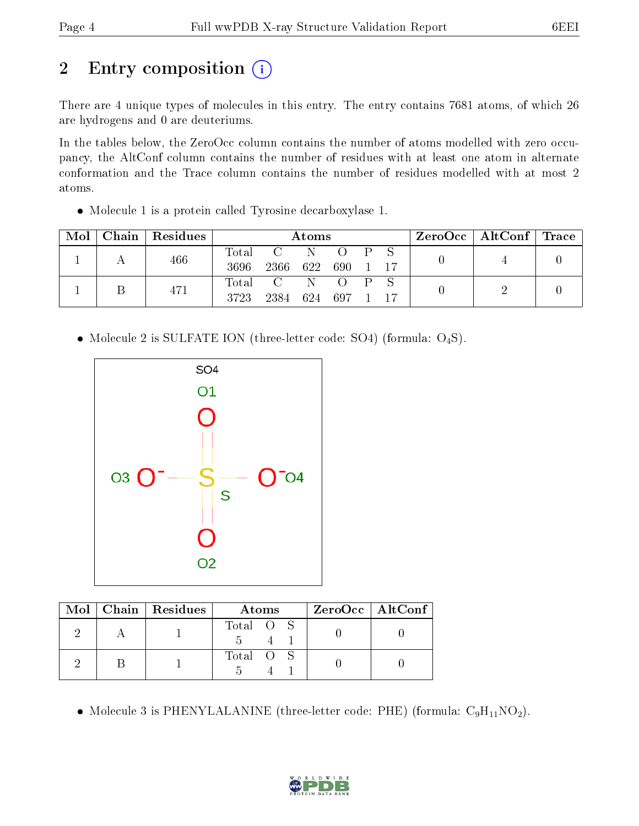# 2 Entry composition (i)

There are 4 unique types of molecules in this entry. The entry contains 7681 atoms, of which 26 are hydrogens and 0 are deuteriums.

In the tables below, the ZeroOcc column contains the number of atoms modelled with zero occupancy, the AltConf column contains the number of residues with at least one atom in alternate conformation and the Trace column contains the number of residues modelled with at most 2 atoms.

Molecule 1 is a protein called Tyrosine decarboxylase 1.

| $\bf{Mol}$ $\parallel$ | Chain   Residues |               | Atoms                        |   |                  |                         |    | $\text{ZeroOcc}$   AltConf   Trace |  |
|------------------------|------------------|---------------|------------------------------|---|------------------|-------------------------|----|------------------------------------|--|
|                        | 466              | Total<br>3696 | $\mathbf{C}$<br>2366 622 690 |   | $\left( \right)$ | $\mathbf{P} \mathbf{S}$ | 17 |                                    |  |
|                        | 471              | Total<br>3723 | $C_{\perp}$<br>2384          | N | 624 697 1        | $\mathbf{p}$            | 17 |                                    |  |

• Molecule 2 is SULFATE ION (three-letter code: SO4) (formula: O<sub>4</sub>S).



|  | Mol   Chain   Residues | Atoms     | $ZeroOcc$   AltConf |
|--|------------------------|-----------|---------------------|
|  |                        | Total O S |                     |
|  |                        | Total O S |                     |

• Molecule 3 is PHENYLALANINE (three-letter code: PHE) (formula:  $C_9H_{11}NO_2$ ).

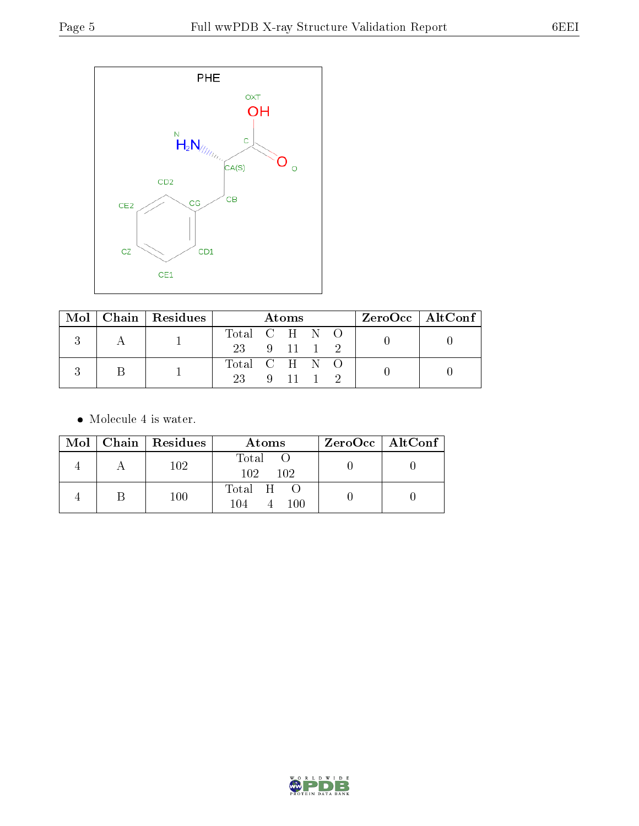

|  |  | $Mol$   Chain   Residues | Atoms         |  |  |  |  | $\rm ZeroOcc \mid AltConf \mid$ |  |  |
|--|--|--------------------------|---------------|--|--|--|--|---------------------------------|--|--|
|  |  |                          | Total C H N O |  |  |  |  |                                 |  |  |
|  |  |                          | 23 9 11 1 2   |  |  |  |  |                                 |  |  |
|  |  |                          | Total C H N O |  |  |  |  |                                 |  |  |
|  |  | 23 9 11 1 2              |               |  |  |  |  |                                 |  |  |

• Molecule 4 is water.

|  | Mol   Chain   Residues | Atoms                    | $ZeroOcc \   \ AltConf \  $ |
|--|------------------------|--------------------------|-----------------------------|
|  | 102                    | Total O<br>102 102       |                             |
|  | $100\,$                | Total H O<br>100<br>104. |                             |

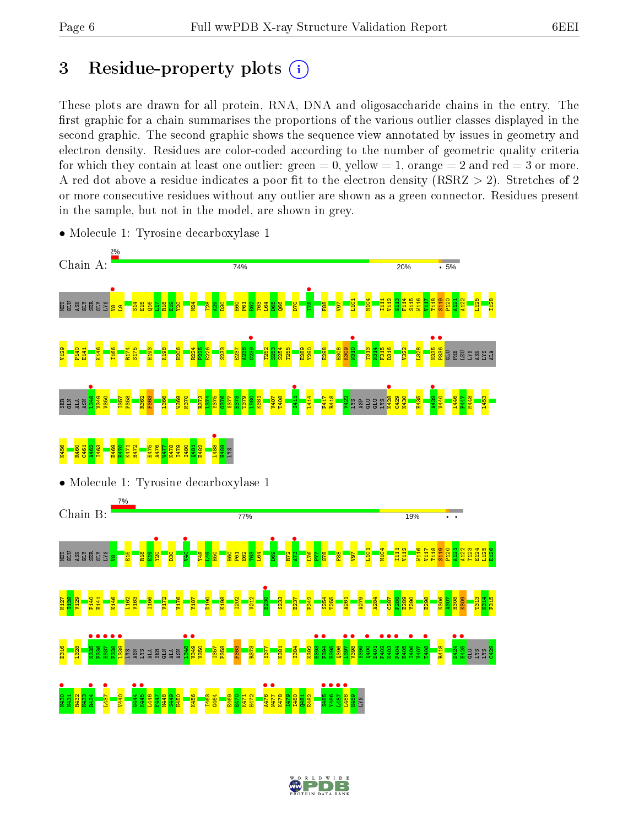# 3 Residue-property plots  $(i)$

These plots are drawn for all protein, RNA, DNA and oligosaccharide chains in the entry. The first graphic for a chain summarises the proportions of the various outlier classes displayed in the second graphic. The second graphic shows the sequence view annotated by issues in geometry and electron density. Residues are color-coded according to the number of geometric quality criteria for which they contain at least one outlier: green  $= 0$ , yellow  $= 1$ , orange  $= 2$  and red  $= 3$  or more. A red dot above a residue indicates a poor fit to the electron density ( $\text{RSRZ} > 2$ ). Stretches of 2 or more consecutive residues without any outlier are shown as a green connector. Residues present in the sample, but not in the model, are shown in grey.



• Molecule 1: Tyrosine decarboxylase 1

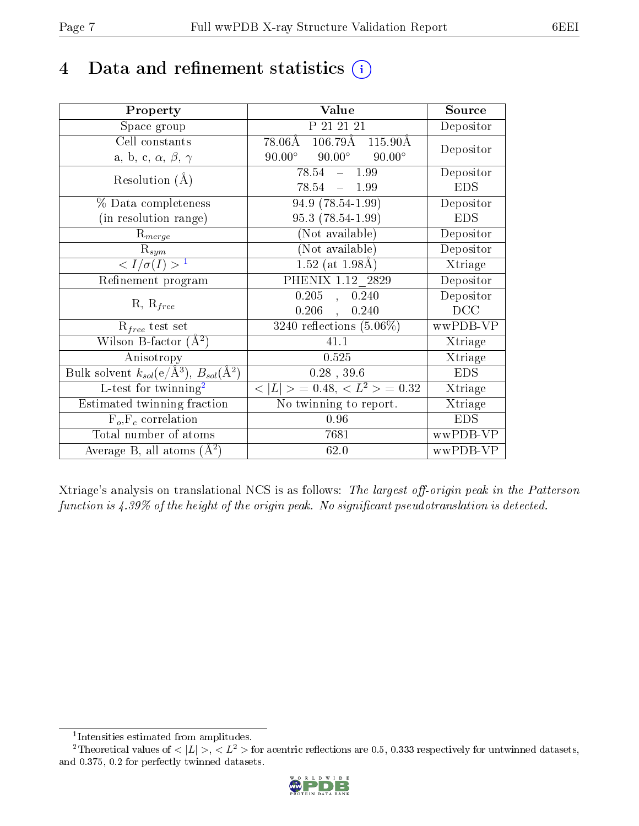# 4 Data and refinement statistics  $(i)$

| Property                                                         | Value                                           | Source     |
|------------------------------------------------------------------|-------------------------------------------------|------------|
| Space group                                                      | P 21 21 21                                      | Depositor  |
| Cell constants                                                   | $106.79\text{\AA}$ $115.90\text{\AA}$<br>78.06Å | Depositor  |
| a, b, c, $\alpha$ , $\beta$ , $\gamma$                           | $90.00^{\circ}$ $90.00^{\circ}$ $90.00^{\circ}$ |            |
| Resolution $(A)$                                                 | $78.54 - 1.99$                                  | Depositor  |
|                                                                  | 78.54<br>$-1.99$                                | <b>EDS</b> |
| % Data completeness                                              | 94.9 (78.54-1.99)                               | Depositor  |
| (in resolution range)                                            | $95.3(78.54-1.99)$                              | <b>EDS</b> |
| $R_{merge}$                                                      | (Not available)                                 | Depositor  |
| $\mathrm{R}_{sym}$                                               | (Not available)                                 | Depositor  |
| $\langle I/\sigma(I) \rangle^{-1}$                               | $1.52$ (at 1.98Å)                               | Xtriage    |
| Refinement program                                               | PHENIX 1.12 2829                                | Depositor  |
|                                                                  | $0.205$ , $0.240$                               | Depositor  |
| $R, R_{free}$                                                    | $0.206$ ,<br>0.240                              | DCC        |
| $\mathcal{R}_{free}$ test set                                    | $3240$ reflections $(5.06\%)$                   | wwPDB-VP   |
| Wilson B-factor $(A^2)$                                          | 41.1                                            | Xtriage    |
| Anisotropy                                                       | 0.525                                           | Xtriage    |
| Bulk solvent $k_{sol}(\text{e}/\text{A}^3), B_{sol}(\text{A}^2)$ | $0.28$ , 39.6                                   | <b>EDS</b> |
| L-test for twinning <sup>2</sup>                                 | $< L >$ = 0.48, $< L2$ = 0.32                   | Xtriage    |
| Estimated twinning fraction                                      | No twinning to report.                          | Xtriage    |
| $F_o, F_c$ correlation                                           | 0.96                                            | <b>EDS</b> |
| Total number of atoms                                            | 7681                                            | wwPDB-VP   |
| Average B, all atoms $(A^2)$                                     | 62.0                                            | wwPDB-VP   |

Xtriage's analysis on translational NCS is as follows: The largest off-origin peak in the Patterson function is  $4.39\%$  of the height of the origin peak. No significant pseudotranslation is detected.

<sup>&</sup>lt;sup>2</sup>Theoretical values of  $\langle |L| \rangle$ ,  $\langle L^2 \rangle$  for acentric reflections are 0.5, 0.333 respectively for untwinned datasets, and 0.375, 0.2 for perfectly twinned datasets.



<span id="page-6-1"></span><span id="page-6-0"></span><sup>1</sup> Intensities estimated from amplitudes.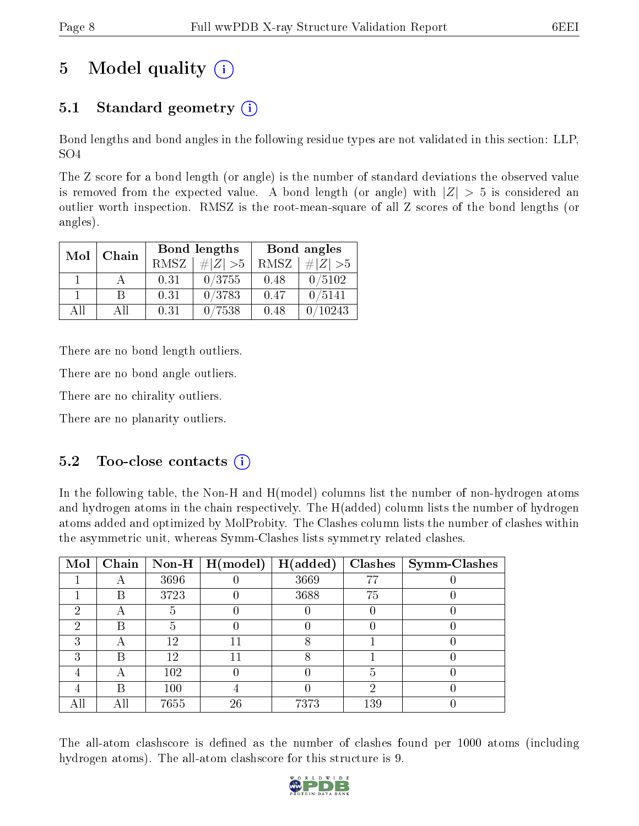# 5 Model quality  $(i)$

## 5.1 Standard geometry  $(i)$

Bond lengths and bond angles in the following residue types are not validated in this section: LLP, SO4

The Z score for a bond length (or angle) is the number of standard deviations the observed value is removed from the expected value. A bond length (or angle) with  $|Z| > 5$  is considered an outlier worth inspection. RMSZ is the root-mean-square of all Z scores of the bond lengths (or angles).

|     | Chain |      | <b>Bond lengths</b> | Bond angles |             |  |
|-----|-------|------|---------------------|-------------|-------------|--|
| Mol |       | RMSZ | $\# Z  > 5$         | RMSZ        | $\# Z  > 5$ |  |
|     |       | 0.31 | 0/3755              | 0.48        | 0/5102      |  |
|     | R     | 0.31 | 0/3783              | 0.47        | 0/5141      |  |
| AH  | АH    | 0.31 | 7538                | 0.48        | 10243       |  |

There are no bond length outliers.

There are no bond angle outliers.

There are no chirality outliers.

There are no planarity outliers.

### $5.2$  Too-close contacts  $(i)$

In the following table, the Non-H and H(model) columns list the number of non-hydrogen atoms and hydrogen atoms in the chain respectively. The H(added) column lists the number of hydrogen atoms added and optimized by MolProbity. The Clashes column lists the number of clashes within the asymmetric unit, whereas Symm-Clashes lists symmetry related clashes.

| Mol | Chain |      | $\mid$ Non-H $\mid$ H(model) | H(added) |     | $Clashes$   Symm-Clashes |
|-----|-------|------|------------------------------|----------|-----|--------------------------|
|     |       | 3696 |                              | 3669     | 77  |                          |
|     | В     | 3723 |                              | 3688     | 75  |                          |
| 2   |       |      |                              |          |     |                          |
| 2   | R     | 5    |                              |          |     |                          |
| 3   |       | 12   |                              |          |     |                          |
| 3   | B     | 12   |                              |          |     |                          |
|     |       | 102  |                              |          | 5   |                          |
|     | В     | 100  |                              |          | ച   |                          |
| All |       | 7655 | 26                           | 7373     | 139 |                          |

The all-atom clashscore is defined as the number of clashes found per 1000 atoms (including hydrogen atoms). The all-atom clashscore for this structure is 9.

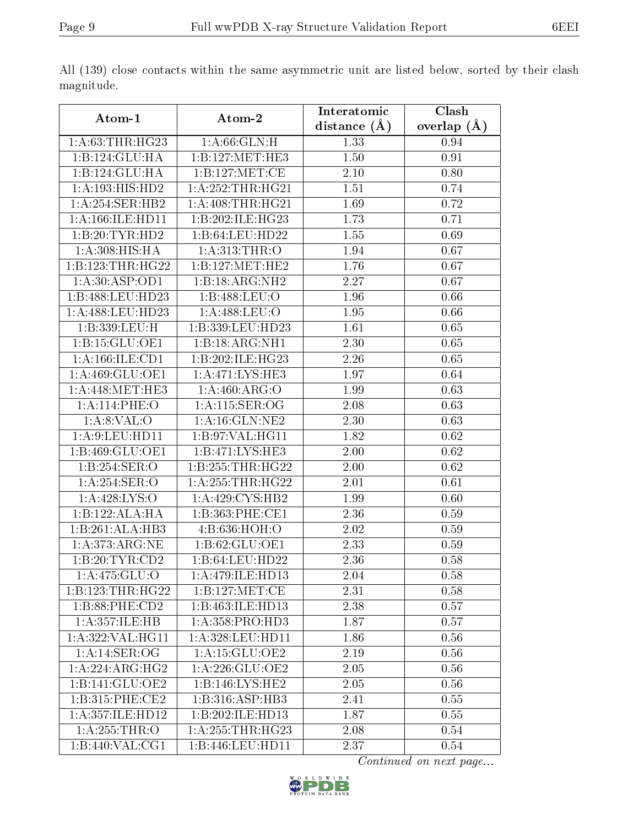|                                    |                               | Interatomic       | Clash         |
|------------------------------------|-------------------------------|-------------------|---------------|
| Atom-1                             | Atom-2                        | distance $(A)$    | overlap $(A)$ |
| 1: A:63:THR:HG23<br>1: A:66: GLN:H |                               | 1.33              | 0.94          |
| 1:B:124:GLU:HA                     | 1:B:127:MET:HE3               | 1.50              | 0.91          |
| 1:B:124:GLU:HA                     | 1:B:127:MET:CE                | 2.10              | 0.80          |
| 1:A:193:HIS:HD2                    | 1:A:252:THR:HG21              | 1.51              | 0.74          |
| 1:A:254:SER:HB2                    | 1: A:408:THR:HG21             | 1.69              | 0.72          |
| 1: A: 166: ILE: HD11               | 1:B:202:ILE:HG23              | 1.73              | 0.71          |
| 1:B:20:TYR:HD2                     | 1:B:64:LEU:HD22               | 1.55              | 0.69          |
| 1:A:308:HIS:HA                     | 1:A:313:THR:O                 | 1.94              | 0.67          |
| 1:B:123:THR:HG22                   | 1:B:127:MET:HE2               | 1.76              | 0.67          |
| 1: A:30: ASP:OD1                   | 1:B:18:ARG:NH2                | 2.27              | 0.67          |
| 1:B:488:LEU:HD23                   | 1:B:488:LEU:O                 | 1.96              | 0.66          |
| 1:A:488:LEU:HD23                   | 1:A:488:LEU:O                 | 1.95              | 0.66          |
| 1:B:339:LEU:H                      | 1:B:339:LEU:HD23              | 1.61              | 0.65          |
| 1:B:15:GLU:OE1                     | 1:B:18:ARG:NH1                | $\overline{2.30}$ | 0.65          |
| 1: A: 166: ILE: CD1                | 1:B:202:ILE:HG23              | 2.26              | 0.65          |
| 1:A:469:GLU:OE1                    | 1:A:471:LYS:HE3               | 1.97              | 0.64          |
| 1: A:448:MET:HE3                   | 1: A:460:ARG:O                | 1.99              | 0.63          |
| 1:A:114:PHE:O                      | 1:A:115:SER:OG                | 2.08              | 0.63          |
| $1: A:8:VAL:$ <sup>O</sup>         | $1: A:16: \overline{GLN:NE2}$ | 2.30              | 0.63          |
| 1: A:9: LEU: HD11                  | 1:B:97:VAL:HG11               | 1.82              | 0.62          |
| 1:B:469:GLU:OE1                    | 1:B:471:LYS:HE3               | 2.00              | 0.62          |
| 1:B:254:SER:O                      | 1:B:255:THR:HG22              | 2.00              | 0.62          |
| 1:A:254:SER:O                      | 1: A: 255: THR: HG22          | 2.01              | 0.61          |
| 1: A:428: LYS:O                    | 1: A:429: CYS:HB2             | 1.99              | 0.60          |
| 1:B:122:ALA:HA                     | 1:B:363:PHE:CE1               | 2.36              | 0.59          |
| 1:B:261:ALA:HB3                    | 4:B:636:HOH:O                 | 2.02              | 0.59          |
| 1: A:373:ARG:NE                    | 1:B:62:GLU:OE1                | 2.33              | 0.59          |
| 1:B:20:TYR:CD2                     | 1:B:64:LEU:HD22               | 2.36              | 0.58          |
| 1:A:475:GLU:O                      | 1: A:479: ILE: HD13           | 2.04              | 0.58          |
| 1:B:123:THR:HG22                   | 1:B:127:MET:CE                | 2.31              | 0.58          |
| 1:B:88:PHE:CD2                     | 1:B:463:ILE:HD13              | 2.38              | 0.57          |
| 1:A:357:ILE:HB                     | 1: A: 358: PRO: HD3           | 1.87              | 0.57          |
| 1:A:322:VAL:HG11                   | 1:A:328:LEU:HD11              | 1.86              | 0.56          |
| 1:A:14:SER:OG                      | 1: A:15: GLU:OE2              | 2.19              | 0.56          |
| 1:A:224:ARG:HG2                    | 1: A:226: GLU:OE2             | 2.05              | 0.56          |
| 1:B:141:GLU:OE2                    | 1:B:146:LYS:HE2               | 2.05              | 0.56          |
| 1:B:315:PHE:CE2                    | 1:B:316:ASP:HB3               | 2.41              | 0.55          |
| 1: A: 357: ILE: HD12               | 1:B:202:ILE:HD13              | 1.87              | 0.55          |
| 1:A:255:THR:O                      | 1:A:255:THR:HG23              | 2.08              | 0.54          |
| 1:B:440:VAL:CG1                    | 1:B:446:LEU:HD11              | 2.37              | 0.54          |

All (139) close contacts within the same asymmetric unit are listed below, sorted by their clash magnitude.

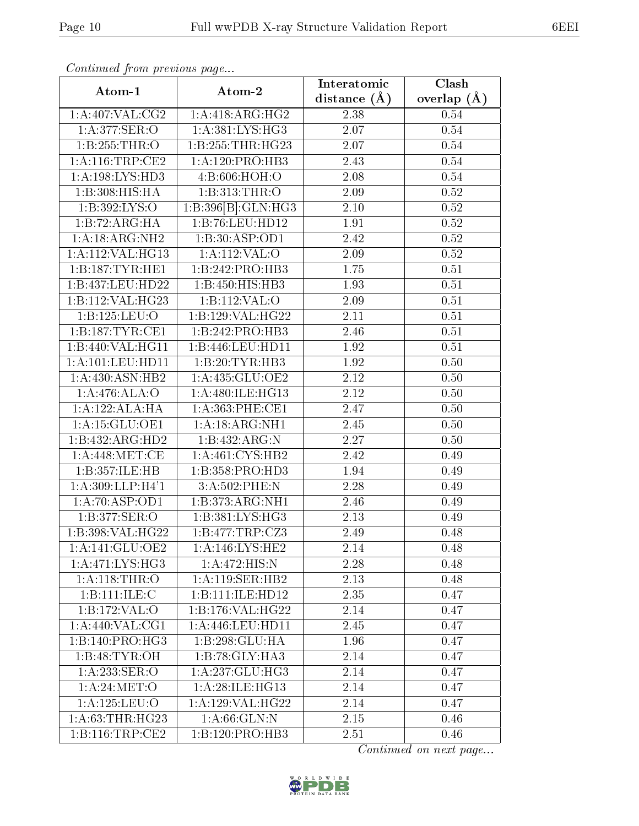| Continuou jiom protivus pugo |                     | Interatomic    | Clash         |
|------------------------------|---------------------|----------------|---------------|
| Atom-1                       | Atom-2              | distance $(A)$ | overlap $(A)$ |
| 1:A:407:VAL:CG2              | 1:A:418:ARG:HG2     | 2.38           | 0.54          |
| 1: A:377: SER: O             | 1:A:381:LYS:HG3     | 2.07           | 0.54          |
| 1:B:255:THR:O                | 1:B:255:THR:HG23    | 2.07           | 0.54          |
| 1: A:116:TRP:CE2             | 1:A:120:PRO:HB3     | 2.43           | 0.54          |
| 1: A: 198: LYS: HD3          | 4:B:606:HOH:O       | 2.08           | 0.54          |
| 1:B:308:HIS:HA               | 1:B:313:THR:O       | 2.09           | 0.52          |
| 1:B:392:LYS:O                | 1:B:396[B]:GLN:HG3  | 2.10           | $0.52\,$      |
| 1:B:72:ARG:HA                | 1:B:76:LEU:HD12     | 1.91           | 0.52          |
| 1:A:18:ARG:NH2               | 1:B:30:ASP:OD1      | 2.42           | 0.52          |
| 1:A:112:VAL:HG13             | 1:A:112:VAL:O       | 2.09           | 0.52          |
| 1:B:187:TYR:HE1              | 1:B:242:PRO:HB3     | 1.75           | $0.51\,$      |
| 1:B:437:LEU:HD22             | 1:B:450:HIS:HB3     | 1.93           | 0.51          |
| 1:B:112:VAL:HG23             | 1:B:112:VAL:O       | 2.09           | 0.51          |
| 1:B:125:LEU:O                | 1:B:129:VAL:HG22    | 2.11           | $0.51\,$      |
| 1:B:187:TYR:CE1              | 1:B:242:PRO:HB3     | 2.46           | 0.51          |
| 1:B:440:VAL:HG11             | 1:B:446:LEU:HD11    | 1.92           | 0.51          |
| 1:A:101:LEU:HD11             | 1:B:20:TYR:HB3      | 1.92           | 0.50          |
| 1:A:430:ASN:HB2              | 1:A:435:GLU:OE2     | 2.12           | 0.50          |
| 1:A:476:ALA:O                | 1:A:480:ILE:HG13    | 2.12           | 0.50          |
| 1:A:122:ALA:HA               | 1: A: 363: PHE: CE1 | 2.47           | 0.50          |
| 1:A:15:GLU:OE1               | 1: A: 18: ARG: NH1  | 2.45           | 0.50          |
| 1:B:432:ARG:HD2              | 1:B:432:ARG:N       | 2.27           | 0.50          |
| 1: A:448:MET:CE              | 1: A:461: CYS:HB2   | 2.42           | 0.49          |
| 1:B:357:ILE:HB               | 1: B: 358: PRO: HD3 | 1.94           | 0.49          |
| 1: A:309: LLP:H4'1           | 3:A:502:PHE:N       | 2.28           | 0.49          |
| 1:A:70:ASP:OD1               | 1:B:373:ARG:NH1     | 2.46           | 0.49          |
| 1:B:377:SER:O                | 1: B:381: LYS: HG3  | 2.13           | 0.49          |
| 1:B:398:VAL:HG22             | 1:B:477:TRP:CZ3     | 2.49           | 0.48          |
| 1: A:141: GLU:OE2            | 1:A:146:LYS:HE2     | 2.14           | 0.48          |
| 1:A:471:LYS:HG3              | 1:A:472:HIS:N       | 2.28           | 0.48          |
| 1:A:118:THR:O                | 1: A:119: SER: HB2  | 2.13           | 0.48          |
| 1:B:111:ILE:C                | 1:B:111:ILE:HD12    | 2.35           | 0.47          |
| 1:B:172:VAL:O                | 1:B:176:VAL:HG22    | 2.14           | 0.47          |
| 1:A:440:VAL:CG1              | 1:A:446:LEU:HD11    | 2.45           | 0.47          |
| 1:B:140:PRO:H <sub>G3</sub>  | 1:B:298:GLU:HA      | 1.96           | 0.47          |
| 1:B:48:TYR:OH                | 1:B:78:GLY:HA3      | 2.14           | 0.47          |
| 1: A:233: SER: O             | 1:A:237:GLU:HG3     | 2.14           | 0.47          |
| 1: A:24: MET:O               | 1:A:28:ILE:HG13     | 2.14           | 0.47          |
| 1:A:125:LEU:O                | 1: A:129: VAL:HG22  | 2.14           | 0.47          |
| 1: A:63:THR:HG23             | 1: A:66: GLN:N      | 2.15           | 0.46          |
| 1: B: 116: TRP: CE2          | 1:B:120:PRO:HB3     | 2.51           | 0.46          |

Continued from previous page.

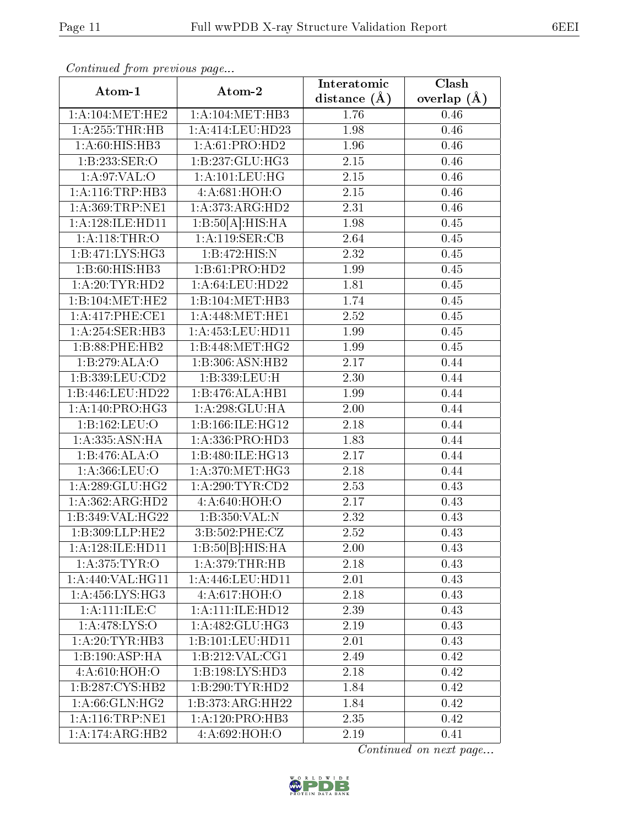| Continuati pom previous page |                                       | Interatomic      | Clash             |
|------------------------------|---------------------------------------|------------------|-------------------|
| Atom-1                       | Atom-2                                | distance $(\AA)$ | overlap $(A)$     |
| 1: A:104: MET:HE2            | 1: A:104: MET:HB3                     | 1.76             | 0.46              |
| 1:A:255:THR:HB               | 1:A:414:LEU:HD23                      | 1.98             | 0.46              |
| 1: A:60: HIS: HB3            | 1:A:61:PRO:HD2                        | 1.96             | 0.46              |
| 1:B:233:SER:O                | 1:B:237:GLU:HG3                       | 2.15             | 0.46              |
| 1: A:97: VAL:O               | $1: A: 101: \overline{\text{LEU:HG}}$ | 2.15             | 0.46              |
| 1: A:116:TRP:HB3             | 4:A:681:HOH:O                         | 2.15             | 0.46              |
| 1:A:369:TRP:NE1              | 1:A:373:ARG:HD2                       | 2.31             | 0.46              |
| 1:A:128:ILE:HD11             | 1:B:50[A]:HIS:HA                      | 1.98             | 0.45              |
| $1:$ A:118:THR:O             | 1:A:119:SER:CB                        | 2.64             | 0.45              |
| 1:B:471:LYS:HG3              | 1:B:472:HIS:N                         | 2.32             | 0.45              |
| 1:B:60:HIS:HB3               | 1:B:61:PRO:HD2                        | 1.99             | $0.\overline{45}$ |
| 1: A:20:TYR:HD2              | 1: A:64:LEU:HD22                      | 1.81             | 0.45              |
| 1:B:104:MET:HE2              | 1:B:104:MET:HB3                       | 1.74             | 0.45              |
| 1:A:417:PHE:CE1              | 1: A:448:MET:HE1                      | 2.52             | 0.45              |
| 1:A:254:SER:HB3              | $1:$ A:453:LEU:HD11                   | 1.99             | 0.45              |
| 1:B:88:PHE:HB2               | $1:B:448:MET:H\overline{G2}$          | 1.99             | 0.45              |
| 1:B:279:ALA:O                | 1:B:306:ASN:HB2                       | 2.17             | 0.44              |
| 1:B:339:LEU:CD2              | 1:B:339:LEU:H                         | 2.30             | 0.44              |
| 1:B:446:LEU:HD22             | 1:B:476:ALA:HB1                       | 1.99             | 0.44              |
| 1:A:140:PRO:HG3              | 1:A:298:GLU:HA                        | 2.00             | 0.44              |
| 1:B:162:LEU:O                | 1:B:166:ILE:HG12                      | 2.18             | 0.44              |
| 1:A:335:ASN:HA               | 1: A: 336: PRO: HD3                   | 1.83             | 0.44              |
| 1:B:476:ALA:O                | 1:B:480:ILE:HG13                      | 2.17             | 0.44              |
| 1: A: 366: LEU: O            | 1: A:370:MET:HG3                      | 2.18             | 0.44              |
| 1: A:289: GLU:HG2            | 1: A:290:TYR:CD2                      | 2.53             | 0.43              |
| 1:A:362:ARG:HD2              | 4:A:640:HOH:O                         | 2.17             | 0.43              |
| 1:B:349:VAL:HG22             | 1:B:350:VAL:N                         | 2.32             | 0.43              |
| 1:B:309:LLP:HE2              | 3:B:502:PHE:CZ                        | 2.52             | 0.43              |
| 1:A:128:ILE:HD11             | 1:B:50[B]:HIS:HA                      | 2.00             | 0.43              |
| 1: A:375: TYR:O              | 1: A:379:THR:HB                       | 2.18             | 0.43              |
| 1:A:440:VAL:HG11             | 1: A:446:LEU:HD11                     | 2.01             | 0.43              |
| 1:A:456:LYS:HG3              | 4:A:617:HOH:O                         | 2.18             | 0.43              |
| 1: A: 111: ILE:C             | 1: A: 111: ILE: HD12                  | 2.39             | 0.43              |
| 1:A:478:LYS:O                | 1: A:482: GLU:HG3                     | 2.19             | 0.43              |
| 1: A:20:TYR:HB3              | 1:B:101:LEU:HD11                      | 2.01             | 0.43              |
| 1:B:190:ASP:HA               | 1:B:212:VAL:CG1                       | 2.49             | 0.42              |
| 4:A:610:HOH:O                | 1:B:198:LYS:HD3                       | 2.18             | 0.42              |
| 1:B:287:CYS:HB2              | 1:B:290:TYR:HD2                       | 1.84             | 0.42              |
| 1: A:66: GLN: HG2            | 1:B:373:ARG:HH22                      | 1.84             | 0.42              |
| 1: A:116:TRP:NE1             | 1:A:120:PRO:HB3                       | 2.35             | 0.42              |
| 1:A:174:ARG:HB2              | 4:A:692:HOH:O                         | 2.19             | 0.41              |

Continued from previous page.

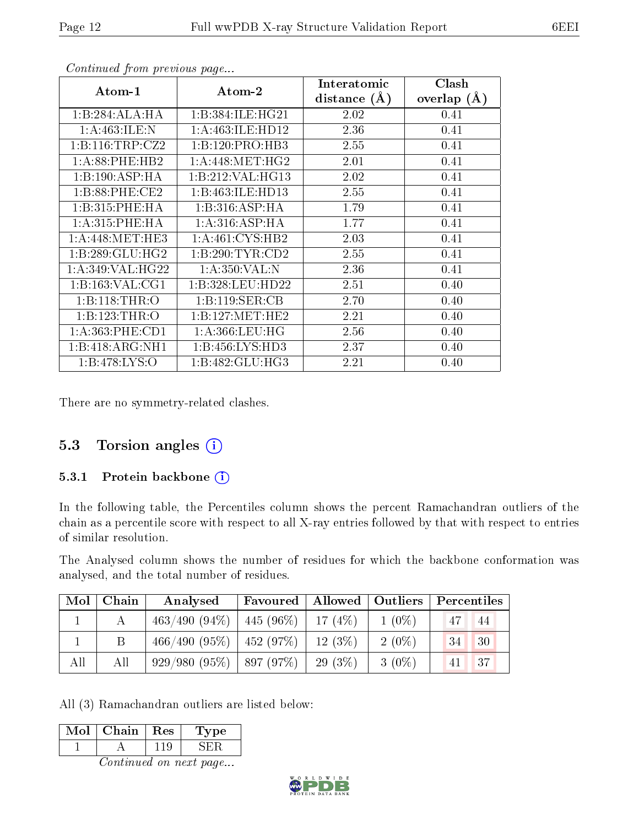| Atom-1              | Atom-2               | Interatomic<br>distance $(\AA)$ | Clash<br>overlap $(\AA)$ |  |
|---------------------|----------------------|---------------------------------|--------------------------|--|
| 1:B:284:ALA:HA      | 1:B:384:ILE:HG21     | 2.02                            | 0.41                     |  |
| 1: A:463: ILE:N     | 1: A: 463: ILE: HD12 | 2.36                            | 0.41                     |  |
| 1:B:116:TRP:CZ2     | 1:B:120:PRO:HB3      | 2.55                            | 0.41                     |  |
| $1: A:88:$ PHE:HB2  | 1: A:448: MET:HG2    | 2.01                            | 0.41                     |  |
| 1:B:190:ASP:HA      | 1:B:212:VAL:HG13     | 2.02                            | 0.41                     |  |
| 1:B:88:PHE:CE2      | 1:B:463:ILE:HD13     | 2.55                            | 0.41                     |  |
| 1:B:315:PHE:HA      | 1:B:316:ASP:HA       | 1.79                            | 0.41                     |  |
| 1:A:315:PHE:HA      | 1:A:316:ASP:HA       | 1.77                            | 0.41                     |  |
| 1: A:448: MET:HE3   | 1: A:461: CYS:HB2    | 2.03                            | 0.41                     |  |
| 1: B:289: GLU: HG2  | 1:B:290:TYR:CD2      | 2.55                            | 0.41                     |  |
| 1: A:349: VAL:HG22  | 1: A:350: VAL: N     | 2.36                            | 0.41                     |  |
| 1: B: 163: VAL: CG1 | 1:B:328:LEU:HD22     | 2.51                            | 0.40                     |  |
| 1:B:118:THR:O       | 1:B:119:SER:CB       | 2.70                            | 0.40                     |  |
| 1:B:123:THR:O       | 1:B:127:MET:HE2      | 2.21                            | 0.40                     |  |
| 1: A: 363: PHE: CD1 | 1: A: 366: LEU: HG   | 2.56                            | 0.40                     |  |
| 1:B:418:ARG:NH1     | 1:B:456:LYS:HD3      | 2.37                            | 0.40                     |  |
| 1:B:478:LYS:O       | 1:B:482:GLU:HG3      | 2.21                            | 0.40                     |  |

Continued from previous page...

There are no symmetry-related clashes.

### 5.3 Torsion angles (i)

#### 5.3.1 Protein backbone (i)

In the following table, the Percentiles column shows the percent Ramachandran outliers of the chain as a percentile score with respect to all X-ray entries followed by that with respect to entries of similar resolution.

The Analysed column shows the number of residues for which the backbone conformation was analysed, and the total number of residues.

| Mol | Chain | Analysed                                   | Favoured   Allowed   Outliers |           |          | Percentiles |             |
|-----|-------|--------------------------------------------|-------------------------------|-----------|----------|-------------|-------------|
|     |       | $463/490 (94\%)$   $445 (96\%)$   17 (4\%) |                               |           | $1(0\%)$ |             | 44          |
|     |       | $466/490$ $(95\%)$   $452$ $(97\%)$        |                               | $12(3\%)$ | $2(0\%)$ | 34          | 30          |
| All | All   | $929/980$ $(95\%)$   897 $(97\%)$          |                               | $29(3\%)$ | $3(0\%)$ |             | $\sqrt{37}$ |

All (3) Ramachandran outliers are listed below:

| Mol     | Chain | $\mid$ Res | ype<br>Œ. |  |  |  |
|---------|-------|------------|-----------|--|--|--|
|         |       |            |           |  |  |  |
| ------- |       |            |           |  |  |  |

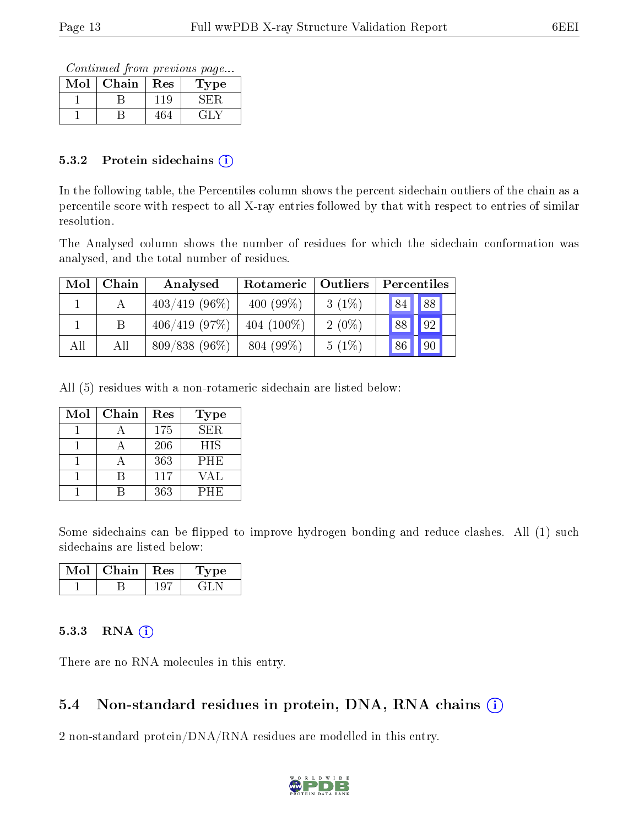Continued from previous page...

| Mol | Chain | Res | Type |
|-----|-------|-----|------|
|     |       | 119 |      |
|     |       |     | 41 A |

#### 5.3.2 Protein sidechains  $(i)$

In the following table, the Percentiles column shows the percent sidechain outliers of the chain as a percentile score with respect to all X-ray entries followed by that with respect to entries of similar resolution.

The Analysed column shows the number of residues for which the sidechain conformation was analysed, and the total number of residues.

| Mol | Chain | Analysed         | Rotameric   Outliers |          | Percentiles |       |  |
|-----|-------|------------------|----------------------|----------|-------------|-------|--|
|     |       | $403/419$ (96\%) | 400 $(99\%)$         | $3(1\%)$ | 84          | 88    |  |
|     |       | 406/419(97%)     | 404 $(100\%)$        | $2(0\%)$ |             | 88 92 |  |
| All | All   | $809/838(96\%)$  | 804 (99%)            | $5(1\%)$ | 86          | 90    |  |

All (5) residues with a non-rotameric sidechain are listed below:

| Mol | Chain | Res | <b>Type</b> |
|-----|-------|-----|-------------|
|     |       | 175 | <b>SER</b>  |
|     |       | 206 | <b>HIS</b>  |
|     |       | 363 | <b>PHE</b>  |
|     |       | 117 | VAL         |
|     |       | 363 | PHE         |

Some sidechains can be flipped to improve hydrogen bonding and reduce clashes. All (1) such sidechains are listed below:

| Mol | Chain | $+$ Res $+$ | L'ype |
|-----|-------|-------------|-------|
|     |       | u.          |       |

### 5.3.3 RNA (i)

There are no RNA molecules in this entry.

## 5.4 Non-standard residues in protein, DNA, RNA chains  $(i)$

2 non-standard protein/DNA/RNA residues are modelled in this entry.

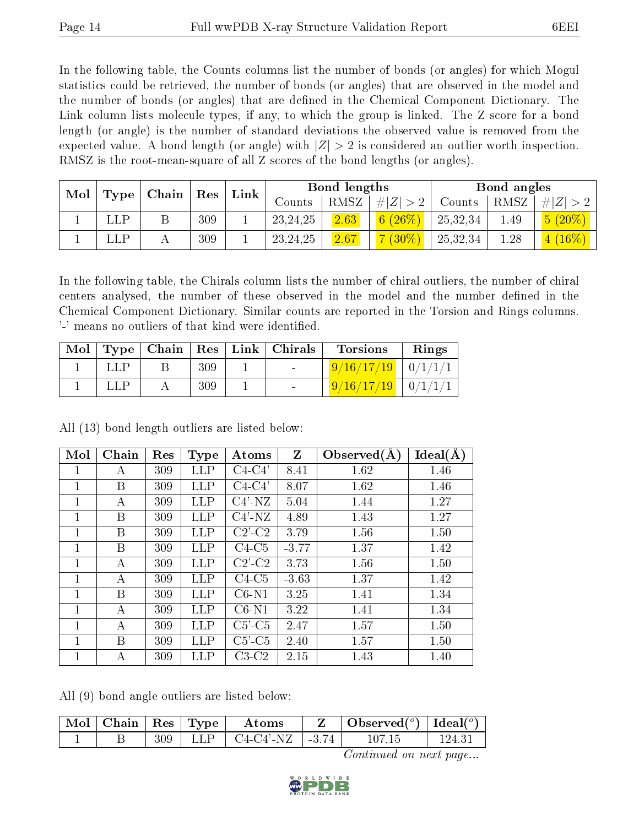In the following table, the Counts columns list the number of bonds (or angles) for which Mogul statistics could be retrieved, the number of bonds (or angles) that are observed in the model and the number of bonds (or angles) that are dened in the Chemical Component Dictionary. The Link column lists molecule types, if any, to which the group is linked. The Z score for a bond length (or angle) is the number of standard deviations the observed value is removed from the expected value. A bond length (or angle) with  $|Z| > 2$  is considered an outlier worth inspection. RMSZ is the root-mean-square of all Z scores of the bond lengths (or angles).

| Mol |  | $\mid$ Type $\mid$ Chain $\mid$ Res |     | Link |            | Bond lengths |             |          | Bond angles |                             |
|-----|--|-------------------------------------|-----|------|------------|--------------|-------------|----------|-------------|-----------------------------|
|     |  |                                     |     |      | Counts     | RMSZ         | # $ Z  > 2$ | Counts   | RMSZ        | # $ Z  > 2$                 |
|     |  |                                     | 309 |      | 23, 24, 25 | 2.63         | 6(26%)      | 25,32,34 | 1.49        | $5(20\%)$                   |
|     |  |                                     | 309 |      | 23, 24, 25 | 2.67         | $7(30\%)$   | 25,32,34 | 1.28        | $(16\%)$<br>$\vert 4 \vert$ |

In the following table, the Chirals column lists the number of chiral outliers, the number of chiral centers analysed, the number of these observed in the model and the number defined in the Chemical Component Dictionary. Similar counts are reported in the Torsion and Rings columns. '-' means no outliers of that kind were identified.

| Mol |  |     | $\vert$ Type $\vert$ Chain $\vert$ Res $\vert$ Link $\vert$ Chirals | <b>Torsions</b>      | Rings |
|-----|--|-----|---------------------------------------------------------------------|----------------------|-------|
|     |  | 309 | and the contract of                                                 | $9/16/17/19$ 0/1/1/1 |       |
|     |  | 309 | $\sim$                                                              | $9/16/17/19$ 0/1/1/1 |       |

All (13) bond length outliers are listed below:

| Mol | Chain | Res | <b>Type</b> | Atoms                  | Z       | Observed $(A)$ | Ideal(A) |
|-----|-------|-----|-------------|------------------------|---------|----------------|----------|
| 1   | A     | 309 | LLP         | C4-C4'                 | 8.41    | 1.62           | 1.46     |
| 1   | Β     | 309 | LLP         | $C4-C4'$               | 8.07    | 1.62           | 1.46     |
| 1   | A     | 309 | LLP         | $C4'$ -NZ              | 5.04    | 1.44           | 1.27     |
| 1   | В     | 309 | LLP         | $C4'$ -NZ              | 4.89    | 1.43           | 1.27     |
| 1   | Β     | 309 | LLP         | $C2$ <sup>-</sup> $C2$ | 3.79    | 1.56           | 1.50     |
| 1   | В     | 309 | LLP         | $C4-C5$                | $-3.77$ | 1.37           | 1.42     |
| 1   | А     | 309 | LLP         | $C2$ <sup>-</sup> $C2$ | 3.73    | 1.56           | 1.50     |
| 1   | А     | 309 | LLP         | $C4-C5$                | $-3.63$ | 1.37           | 1.42     |
| 1   | В     | 309 | LLP         | $C6-N1$                | 3.25    | 1.41           | 1.34     |
| 1   | А     | 309 | LLP         | $C6-N1$                | 3.22    | 1.41           | 1.34     |
|     | А     | 309 | LLP         | $C5$ ' $-C5$           | 2.47    | 1.57           | 1.50     |
| 1   | В     | 309 | LLP         | $C5$ - $C5$            | 2.40    | 1.57           | 1.50     |
|     | А     | 309 | LLP         | $C3-C2$                | 2.15    | 1.43           | 1.40     |

All (9) bond angle outliers are listed below:

| $\mid$ Mol $\mid$ Chain $\mid$ Res $\mid$ Type $\mid$ |  | Atoms                           | $\mid$ Observed $({}^o)$ $\mid$ Ideal $({}^o)$ |        |
|-------------------------------------------------------|--|---------------------------------|------------------------------------------------|--------|
|                                                       |  | $309$   LLP   C4-C4'-NZ   -3.74 | 107-15                                         | 124.31 |

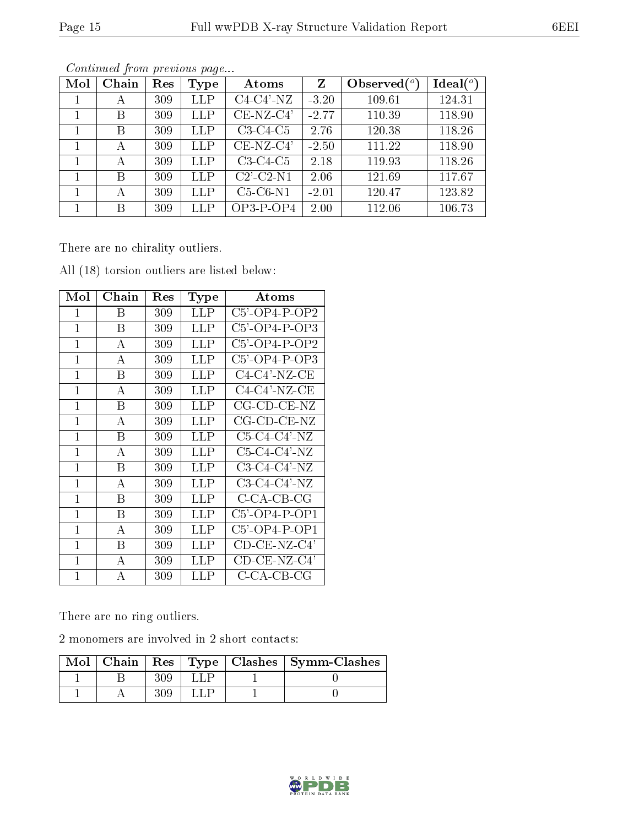|--|

| Mol | Chain | Res | Type       | Atoms                         | $\mathbf{Z}$ | Observed $(°)$ | Ideal $(°)$ |
|-----|-------|-----|------------|-------------------------------|--------------|----------------|-------------|
|     | А     | 309 | LLP        | $C4-C4'$ -NZ                  | $-3.20$      | 109.61         | 124.31      |
|     | В     | 309 | <b>LLP</b> | $CE-NZ-C4'$                   | $-2.77$      | 110.39         | 118.90      |
|     | В     | 309 | <b>LLP</b> | $C3-C4-C5$                    | 2.76         | 120.38         | 118.26      |
|     | А     | 309 | <b>LLP</b> | $CE-NZ-C4'$                   | $-2.50$      | 111.22         | 118.90      |
|     | А     | 309 | <b>LLP</b> | $C3-C4-C5$                    | 2.18         | 119.93         | 118.26      |
|     | В     | 309 | <b>LLP</b> | $C2$ <sup>-</sup> $C2$ - $N1$ | 2.06         | 121.69         | 117.67      |
|     | А     | 309 | LLP        | $C5-C6-N1$                    | $-2.01$      | 120.47         | 123.82      |
|     | В     | 309 | LLP        | $OP3-P-OP4$                   | 2.00         | 112.06         | 106.73      |

Continued from previous page...

There are no chirality outliers.

| Mol            | Chain | $\operatorname{Res}% \left( \mathcal{N}\right) \equiv\operatorname{Res}(\mathcal{N}_{0},\mathcal{N}_{0})$ | Type       | $\rm{Atoms}$              |
|----------------|-------|-----------------------------------------------------------------------------------------------------------|------------|---------------------------|
| 1              | Β     | 309                                                                                                       | LLP        | $C5'$ -OP4-P-OP2          |
| $\mathbf{1}$   | Β     | 309                                                                                                       | LLP        | $C5'$ -OP4-P-OP3          |
| $\mathbf{1}$   | А     | 309                                                                                                       | LLP        | $C5'$ -OP4-P-OP2          |
| 1              | A     | 309                                                                                                       | LLP        | $C5$ '-OP4-P-OP3          |
| $\mathbf{1}$   | B     | 309                                                                                                       | <b>LLP</b> | $C4-C4'$ -NZ-CE           |
| 1              | А     | 309                                                                                                       | LLP        | $C4-C4'$ -NZ-CE           |
| $\mathbf 1$    | B     | 309                                                                                                       | LLP        | $CG$ - $CD$ - $CE$ - $NZ$ |
| 1              | А     | 309                                                                                                       | LLP        | $CG$ - $CD$ - $CE$ - $NZ$ |
| $\mathbf{1}$   | B     | 309                                                                                                       | LLP        | $C5-C4-C4'$ -NZ           |
| $\mathbf{1}$   | А     | 309                                                                                                       | LLP        | C5-C4-C4'-NZ              |
| $\overline{1}$ | B     | 309                                                                                                       | LLP        | $C3-C4-C4'$ -NZ           |
| $\mathbf 1$    | А     | 309                                                                                                       | <b>LLP</b> | C3-C4-C4'-NZ              |
| $\mathbf 1$    | B     | 309                                                                                                       | LLP        | C-CA-CB-CG                |
| 1              | В     | 309                                                                                                       | LLP        | $C5'$ -OP4-P-OP1          |
| 1              | А     | 309                                                                                                       | LLP        | $C5'$ -OP4-P-OP1          |
| 1              | В     | 309                                                                                                       | LLP        | $CD$ - $CE$ -NZ- $C4$ '   |
| 1              | А     | 309                                                                                                       | LLP        | CD-CE-NZ-C4'              |
| $\mathbf{1}$   | А     | 309                                                                                                       | LLP        | C-CA-CB-CG                |

All (18) torsion outliers are listed below:

There are no ring outliers.

2 monomers are involved in 2 short contacts:

|  |  | Mol   Chain   Res   Type   Clashes   Symm-Clashes |
|--|--|---------------------------------------------------|
|  |  |                                                   |
|  |  |                                                   |

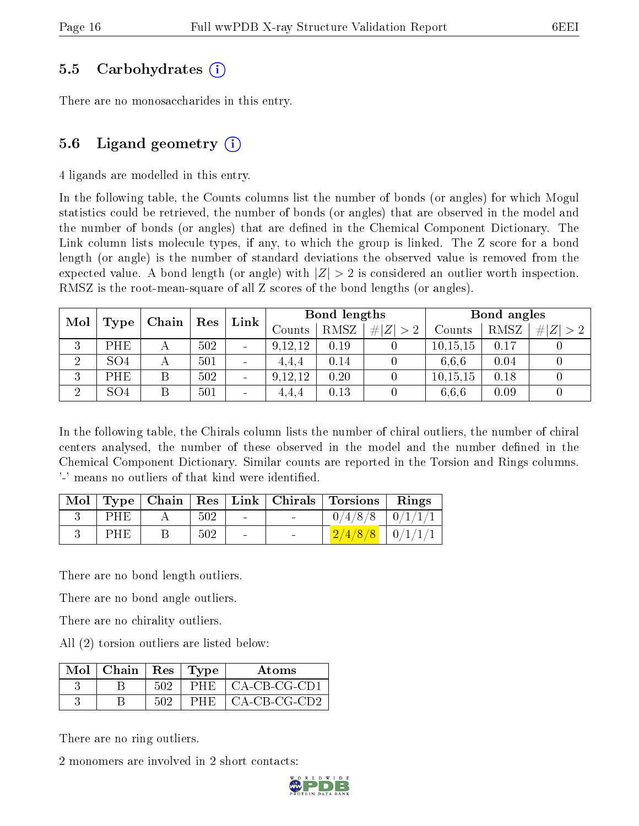### 5.5 Carbohydrates (i)

There are no monosaccharides in this entry.

### 5.6 Ligand geometry  $(i)$

4 ligands are modelled in this entry.

In the following table, the Counts columns list the number of bonds (or angles) for which Mogul statistics could be retrieved, the number of bonds (or angles) that are observed in the model and the number of bonds (or angles) that are dened in the Chemical Component Dictionary. The Link column lists molecule types, if any, to which the group is linked. The Z score for a bond length (or angle) is the number of standard deviations the observed value is removed from the expected value. A bond length (or angle) with  $|Z| > 2$  is considered an outlier worth inspection. RMSZ is the root-mean-square of all Z scores of the bond lengths (or angles).

| Mol            |                 | ${\mathop{\mathrm{Res}}\nolimits}$ | $\mathbf{Link}$ | Bond lengths             |         |             | Bond angles |            |      |                |
|----------------|-----------------|------------------------------------|-----------------|--------------------------|---------|-------------|-------------|------------|------|----------------|
|                | Type            | Chain                              |                 |                          | Counts  | <b>RMSZ</b> | # $ Z  > 2$ | Counts     | RMSZ | H  Z  <br>$>2$ |
| 3              | PHE             |                                    | 502             | $\blacksquare$           | 9,12,12 | 0.19        |             | 10, 15, 15 | 0.17 |                |
| $\overline{2}$ | SO <sub>4</sub> |                                    | 501             |                          | 4.4.4   | 0.14        |             | 6.6.6      | 0.04 |                |
| 3              | PHE             |                                    | 502             | $\overline{\phantom{a}}$ | 9,12,12 | 0.20        |             | 10, 15, 15 | 0.18 |                |
| ച              | SO <sub>4</sub> |                                    | 501             | $\blacksquare$           | 4.4.4   | 0.13        |             | 6.6.6      | 0.09 |                |

In the following table, the Chirals column lists the number of chiral outliers, the number of chiral centers analysed, the number of these observed in the model and the number defined in the Chemical Component Dictionary. Similar counts are reported in the Torsion and Rings columns. '-' means no outliers of that kind were identified.

| $\text{Mol}$ |     |     |  | Type   Chain   Res   Link   Chirals   Torsions | Rings          |
|--------------|-----|-----|--|------------------------------------------------|----------------|
|              | PHE | 502 |  | 0/4/8/8                                        | $\mid 0/1/1/1$ |
|              | PHF | 502 |  | 2/4/8/8                                        | $\mid 0/1/1/1$ |

There are no bond length outliers.

There are no bond angle outliers.

There are no chirality outliers.

All (2) torsion outliers are listed below:

| $Mol$   Chain   Res   Type |     |            | Atoms        |
|----------------------------|-----|------------|--------------|
|                            | 502 | PHE        | CA-CB-CG-CD1 |
|                            | 502 | <b>PHF</b> | CA-CB-CG-CD2 |

There are no ring outliers.

2 monomers are involved in 2 short contacts:

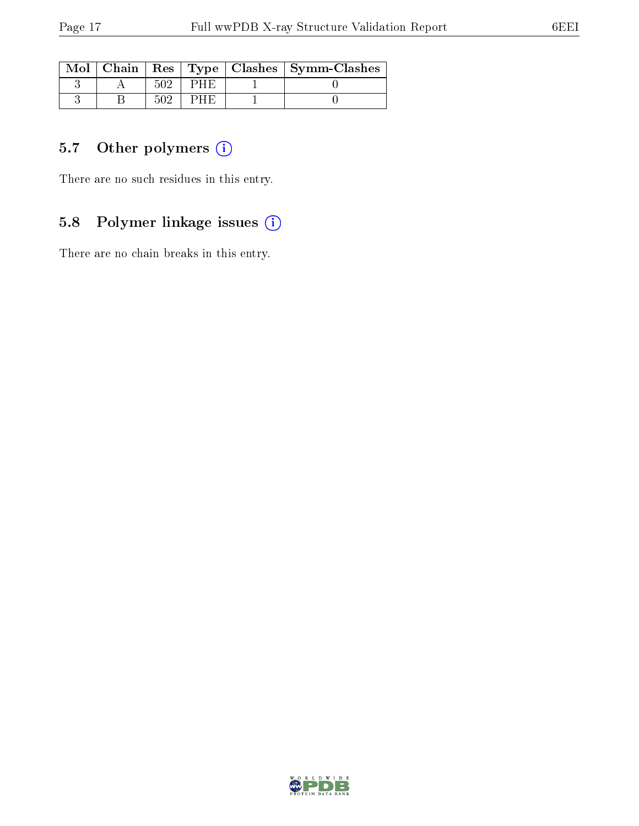|  |    | Mol   Chain   Res   Type   Clashes   Symm-Clashes |
|--|----|---------------------------------------------------|
|  | нн |                                                   |
|  | нн |                                                   |

## 5.7 [O](https://www.wwpdb.org/validation/2017/XrayValidationReportHelp#nonstandard_residues_and_ligands)ther polymers (i)

There are no such residues in this entry.

### 5.8 Polymer linkage issues (i)

There are no chain breaks in this entry.

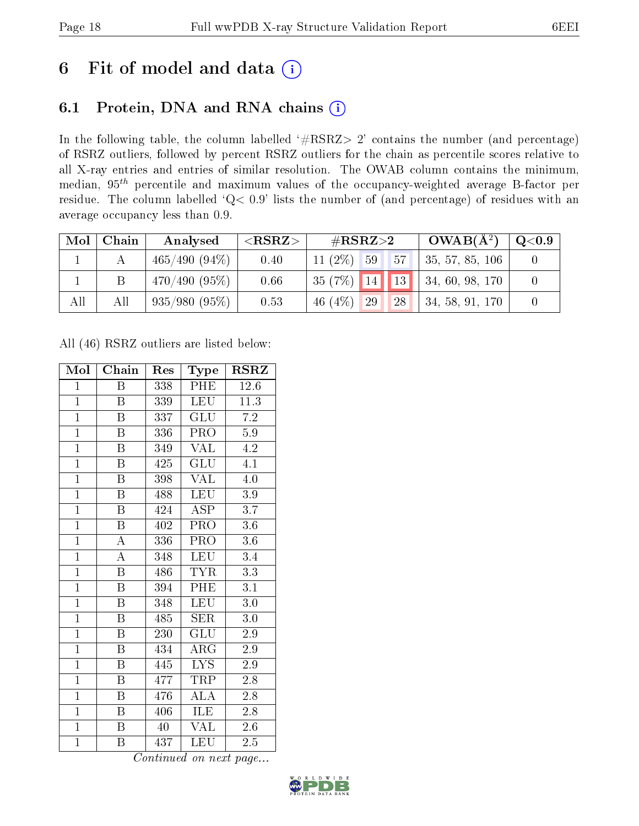# 6 Fit of model and data  $(i)$

## 6.1 Protein, DNA and RNA chains  $(i)$

In the following table, the column labelled  $#RSRZ> 2'$  contains the number (and percentage) of RSRZ outliers, followed by percent RSRZ outliers for the chain as percentile scores relative to all X-ray entries and entries of similar resolution. The OWAB column contains the minimum, median,  $95<sup>th</sup>$  percentile and maximum values of the occupancy-weighted average B-factor per residue. The column labelled ' $Q< 0.9$ ' lists the number of (and percentage) of residues with an average occupancy less than 0.9.

| Mol | Chain | Analysed        | ${ <\hspace{-1.5pt}{\mathrm{RSRZ}} \hspace{-1.5pt}>}$ | $\#\text{RSRZ}\text{>2}$ |    | $OWAB(A^2)$        | $\rm Q\textcolor{black}{<}0.9$ |
|-----|-------|-----------------|-------------------------------------------------------|--------------------------|----|--------------------|--------------------------------|
|     |       | $465/490(94\%)$ | 0.40                                                  | $11(2\%)$ 59             | 57 | $+35, 57, 85, 106$ |                                |
|     |       | 470/490(95%)    | 0.66                                                  | $135(7%)$ 14 13 1        |    | 34, 60, 98, 170    |                                |
| All | All   | $935/980(95\%)$ | 0.53                                                  | $46(4\%)$<br>29          | 28 | $-34, 58, 91, 170$ |                                |

All (46) RSRZ outliers are listed below:

| Mol            | Chain                   | Res | Type                      | $\rm RSRZ$ |
|----------------|-------------------------|-----|---------------------------|------------|
| $\mathbf{1}$   | Β                       | 338 | PHE                       | 12.6       |
| $\overline{1}$ | Β                       | 339 | LEU                       | 11.3       |
| $\overline{1}$ | Β                       | 337 | GLU                       | $7.2\,$    |
| $\mathbf{1}$   | $\boldsymbol{B}$        | 336 | PRO                       | $5.9\,$    |
| $\overline{1}$ | $\overline{\mathrm{B}}$ | 349 | $\overline{\text{VAL}}$   | 4.2        |
| $\overline{1}$ | $\boldsymbol{B}$        | 425 | GLU                       | 4.1        |
| $\overline{1}$ | $\boldsymbol{B}$        | 398 | <b>VAL</b>                | 4.0        |
| $\overline{1}$ | $\boldsymbol{B}$        | 488 | <b>LEU</b>                | $3.9\,$    |
| $\overline{1}$ | $\overline{B}$          | 424 | ASP                       | 3.7        |
| $\overline{1}$ | $\overline{\mathrm{B}}$ | 402 | PRO                       | 3.6        |
| $\overline{1}$ | $\boldsymbol{A}$        | 336 | <b>PRO</b>                | 3.6        |
| $\overline{1}$ | $\overline{A}$          | 348 | <b>LEU</b>                | 3.4        |
| $\overline{1}$ | $\overline{\mathrm{B}}$ | 486 | <b>TYR</b>                | 3.3        |
| $\overline{1}$ | $\, {\bf B}$            | 394 | PHE                       | 3.1        |
| $\overline{1}$ | $\overline{\mathrm{B}}$ | 348 | <b>LEU</b>                | 3.0        |
| $\mathbf{1}$   | $\boldsymbol{B}$        | 485 | <b>SER</b>                | $3.0\,$    |
| $\overline{1}$ | $\overline{\mathrm{B}}$ | 230 | $\overline{\mathrm{GLU}}$ | 2.9        |
| $\overline{1}$ | $\overline{B}$          | 434 | $\rm{ARG}$                | 2.9        |
| $\overline{1}$ | $\boldsymbol{B}$        | 445 | <b>LYS</b>                | $2.9\,$    |
| $\mathbf{1}$   | $\boldsymbol{B}$        | 477 | TRP                       | 2.8        |
| $\overline{1}$ | $\boldsymbol{B}$        | 476 | $\overline{\rm ALA}$      | 2.8        |
| $\overline{1}$ | Β                       | 406 | $\overline{\textrm{LE}}$  | $2.8\,$    |
| $\overline{1}$ | $\boldsymbol{B}$        | 40  | <b>VAL</b>                | $2.6\,$    |
| $\overline{1}$ | Β                       | 437 | LEU                       | 2.5        |

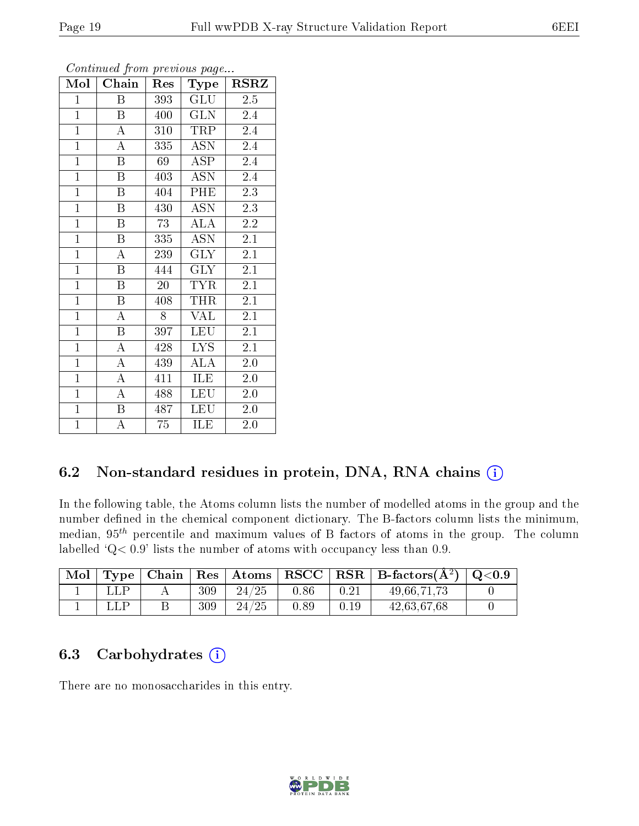| Mol            | Chain                   | Res | Type                    | <b>RSRZ</b>      |
|----------------|-------------------------|-----|-------------------------|------------------|
| $\mathbf{1}$   | B                       | 393 | <b>GLU</b>              | 2.5              |
| $\mathbf{1}$   | Β                       | 400 | <b>GLN</b>              | 2.4              |
| $\overline{1}$ | $\boldsymbol{A}$        | 310 | TRP                     | $2.\overline{4}$ |
| $\overline{1}$ | $\boldsymbol{A}$        | 335 | <b>ASN</b>              | 2.4              |
| $\overline{1}$ | $\overline{\mathrm{B}}$ | 69  | $\overline{\rm ASP}$    | 2.4              |
| $\mathbf{1}$   | B                       | 403 | <b>ASN</b>              | 2.4              |
| $\overline{1}$ | B                       | 404 | PHE                     | 2.3              |
| $\overline{1}$ | $\boldsymbol{B}$        | 430 | <b>ASN</b>              | 2.3              |
| $\overline{1}$ | $\boldsymbol{B}$        | 73  | <b>ALA</b>              | 2.2              |
| $\overline{1}$ | Β                       | 335 | <b>ASN</b>              | 2.1              |
| $\mathbf{1}$   | A                       | 239 | <b>GLY</b>              | 2.1              |
| $\overline{1}$ | Β                       | 444 | <b>GLY</b>              | 2.1              |
| $\overline{1}$ | $\boldsymbol{B}$        | 20  | <b>TYR</b>              | 2.1              |
| $\mathbf{1}$   | Β                       | 408 | THR                     | 2.1              |
| $\overline{1}$ | $\overline{\rm A}$      | 8   | VAL                     | 2.1              |
| $\overline{1}$ | B                       | 397 | <b>LEU</b>              | 2.1              |
| $\overline{1}$ | $\overline{\rm A}$      | 428 | $\overline{\text{LYS}}$ | 2.1              |
| $\overline{1}$ | $\overline{\rm A}$      | 439 | ALA                     | 2.0              |
| $\mathbf{1}$   | $\overline{A}$          | 411 | ILE                     | 2.0              |
| $\overline{1}$ | A                       | 488 | LEU                     | 2.0              |
| $\mathbf{1}$   | B                       | 487 | <b>LEU</b>              | 2.0              |
| $\overline{1}$ | A                       | 75  | ILE                     | 2.0              |

Continued from previous page...

### 6.2 Non-standard residues in protein, DNA, RNA chains  $(i)$

In the following table, the Atoms column lists the number of modelled atoms in the group and the number defined in the chemical component dictionary. The B-factors column lists the minimum, median,  $95<sup>th</sup>$  percentile and maximum values of B factors of atoms in the group. The column labelled  $Q < 0.9$ ' lists the number of atoms with occupancy less than 0.9.

| Mol |  |     |       |      |      | Type   Chain   Res   Atoms   RSCC   RSR   B-factors $(\AA^2)$   Q<0.9 |  |
|-----|--|-----|-------|------|------|-----------------------------------------------------------------------|--|
|     |  | 309 | 24/25 | 0.86 | 0.21 | 49,66,71,73                                                           |  |
|     |  | 309 | 24/25 | 0.89 | 0.19 | 42,63,67,68                                                           |  |

### 6.3 Carbohydrates (i)

There are no monosaccharides in this entry.